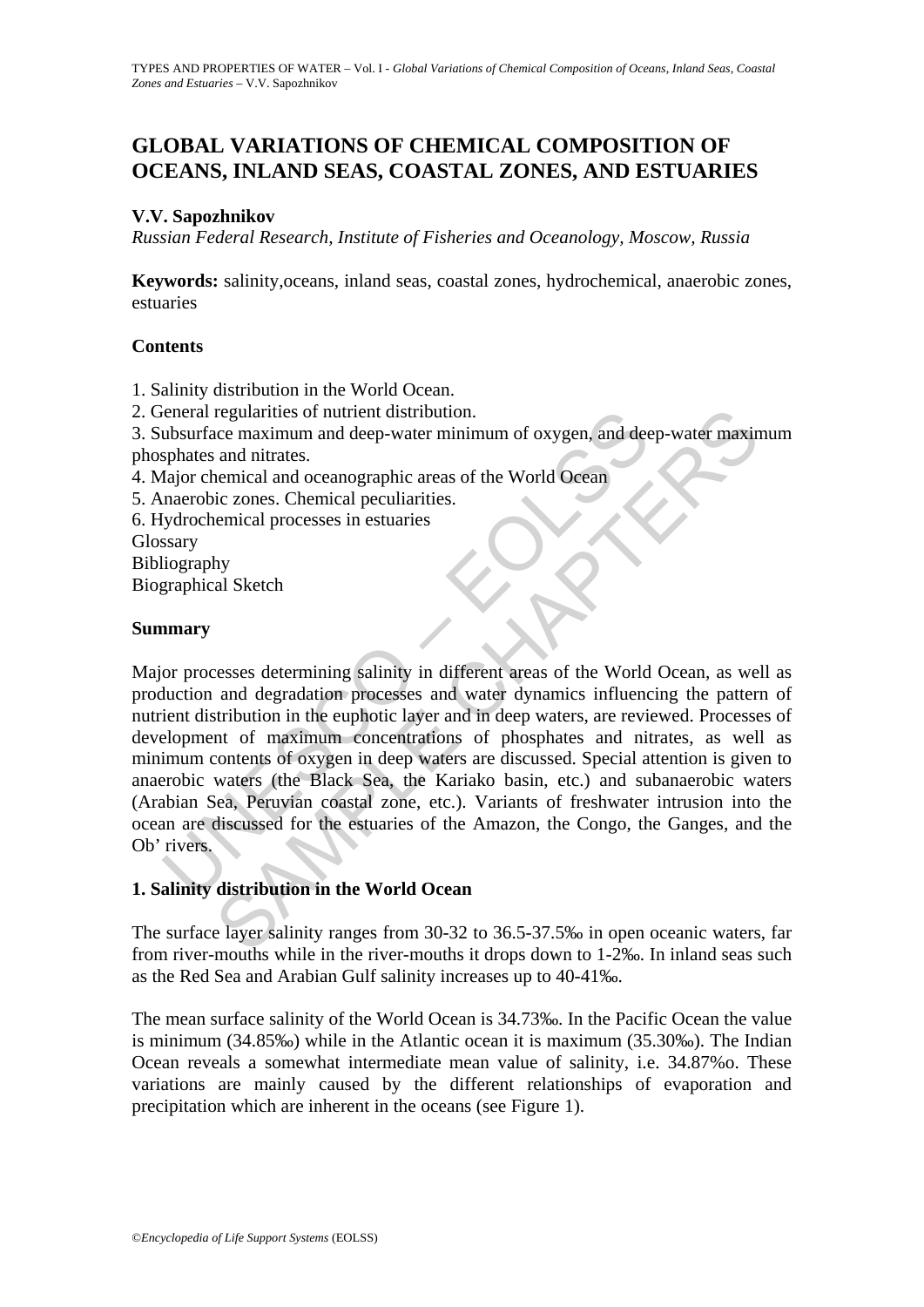# **GLOBAL VARIATIONS OF CHEMICAL COMPOSITION OF OCEANS, INLAND SEAS, COASTAL ZONES, AND ESTUARIES**

## **V.V. Sapozhnikov**

*Russian Federal Research, Institute of Fisheries and Oceanology, Moscow, Russia*

**Keywords:** salinity,oceans, inland seas, coastal zones, hydrochemical, anaerobic zones, estuaries

### **Contents**

- 1. Salinity distribution in the World Ocean.
- 2. General regularities of nutrient distribution.

3. Subsurface maximum and deep-water minimum of oxygen, and deep-water maximum phosphates and nitrates.

- 4. Major chemical and oceanographic areas of the World Ocean
- 5. Anaerobic zones. Chemical peculiarities.
- 6. Hydrochemical processes in estuaries
- Glossary
- Bibliography

Biographical Sketch

### **Summary**

ieneral regularities of nutrient distribution.<br>
ubsurface maximum and deep-water minimum of oxygen, and dee<br>
sphates and nitrates.<br>
fajor chemical and oceanographic areas of the World Ocean<br>
naerobic zones. Chemical peculi regularities of nutrient distribution.<br>
and nitrates.<br>
and nitrates.<br>
and nitrates.<br>
and nitrates.<br>
care maximum and deep-water minimum of oxygen, and deep-water maxim<br>
are and nitrates.<br>
ermical processes in estuaries<br>
th Major processes determining salinity in different areas of the World Ocean, as well as production and degradation processes and water dynamics influencing the pattern of nutrient distribution in the euphotic layer and in deep waters, are reviewed. Processes of development of maximum concentrations of phosphates and nitrates, as well as minimum contents of oxygen in deep waters are discussed. Special attention is given to anaerobic waters (the Black Sea, the Kariako basin, etc.) and subanaerobic waters (Arabian Sea, Peruvian coastal zone, etc.). Variants of freshwater intrusion into the ocean are discussed for the estuaries of the Amazon, the Congo, the Ganges, and the Ob' rivers.

## **1. Salinity distribution in the World Ocean**

The surface layer salinity ranges from 30-32 to 36.5-37.5‰ in open oceanic waters, far from river-mouths while in the river-mouths it drops down to 1-2‰. In inland seas such as the Red Sea and Arabian Gulf salinity increases up to 40-41‰.

The mean surface salinity of the World Ocean is 34.73‰. In the Pacific Ocean the value is minimum (34.85‰) while in the Atlantic ocean it is maximum (35.30‰). The Indian Ocean reveals a somewhat intermediate mean value of salinity, i.e. 34.87%o. These variations are mainly caused by the different relationships of evaporation and precipitation which are inherent in the oceans (see Figure 1).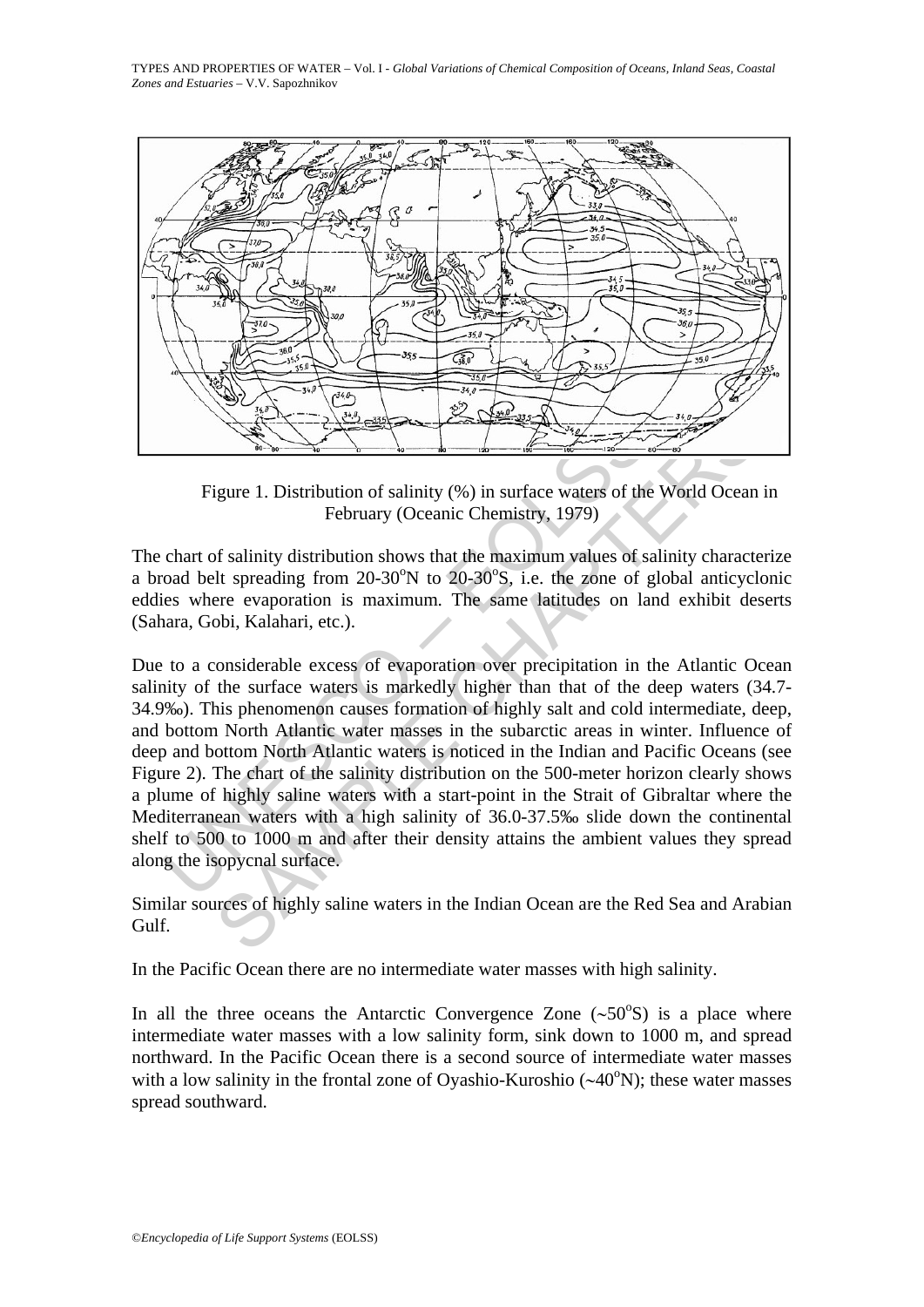

Figure 1. Distribution of salinity (%) in surface waters of the World Ocean in February (Oceanic Chemistry, 1979)

The chart of salinity distribution shows that the maximum values of salinity characterize a broad belt spreading from  $20-30^{\circ}$ N to  $20-30^{\circ}$ S, i.e. the zone of global anticyclonic eddies where evaporation is maximum. The same latitudes on land exhibit deserts (Sahara, Gobi, Kalahari, etc.).

Figure 1. Distribution of salinity (%) in surface waters of the<br>February (Oceanic Chemistry, 1979)<br>chart of salinity distribution shows that the maximum values of so<br>coal belt spreading from 20-30°N to 20-30°S, i.e. the z Example 1. Distribution of salinity (%) in surface waters of the World Ocean<br>February (Oceanic Chemistry, 1979)<br>of salinity distribution shows that the maximum values of salinity character<br>and the speciality distribution Due to a considerable excess of evaporation over precipitation in the Atlantic Ocean salinity of the surface waters is markedly higher than that of the deep waters (34.7- 34.9‰). This phenomenon causes formation of highly salt and cold intermediate, deep, and bottom North Atlantic water masses in the subarctic areas in winter. Influence of deep and bottom North Atlantic waters is noticed in the Indian and Pacific Oceans (see Figure 2). The chart of the salinity distribution on the 500-meter horizon clearly shows a plume of highly saline waters with a start-point in the Strait of Gibraltar where the Mediterranean waters with a high salinity of 36.0-37.5‰ slide down the continental shelf to 500 to 1000 m and after their density attains the ambient values they spread along the isopycnal surface.

Similar sources of highly saline waters in the Indian Ocean are the Red Sea and Arabian Gulf.

In the Pacific Ocean there are no intermediate water masses with high salinity.

In all the three oceans the Antarctic Convergence Zone  $({\sim}50^{\circ}S)$  is a place where intermediate water masses with a low salinity form, sink down to 1000 m, and spread northward. In the Pacific Ocean there is a second source of intermediate water masses with a low salinity in the frontal zone of Oyashio-Kuroshio ( $\sim$ 40°N); these water masses spread southward.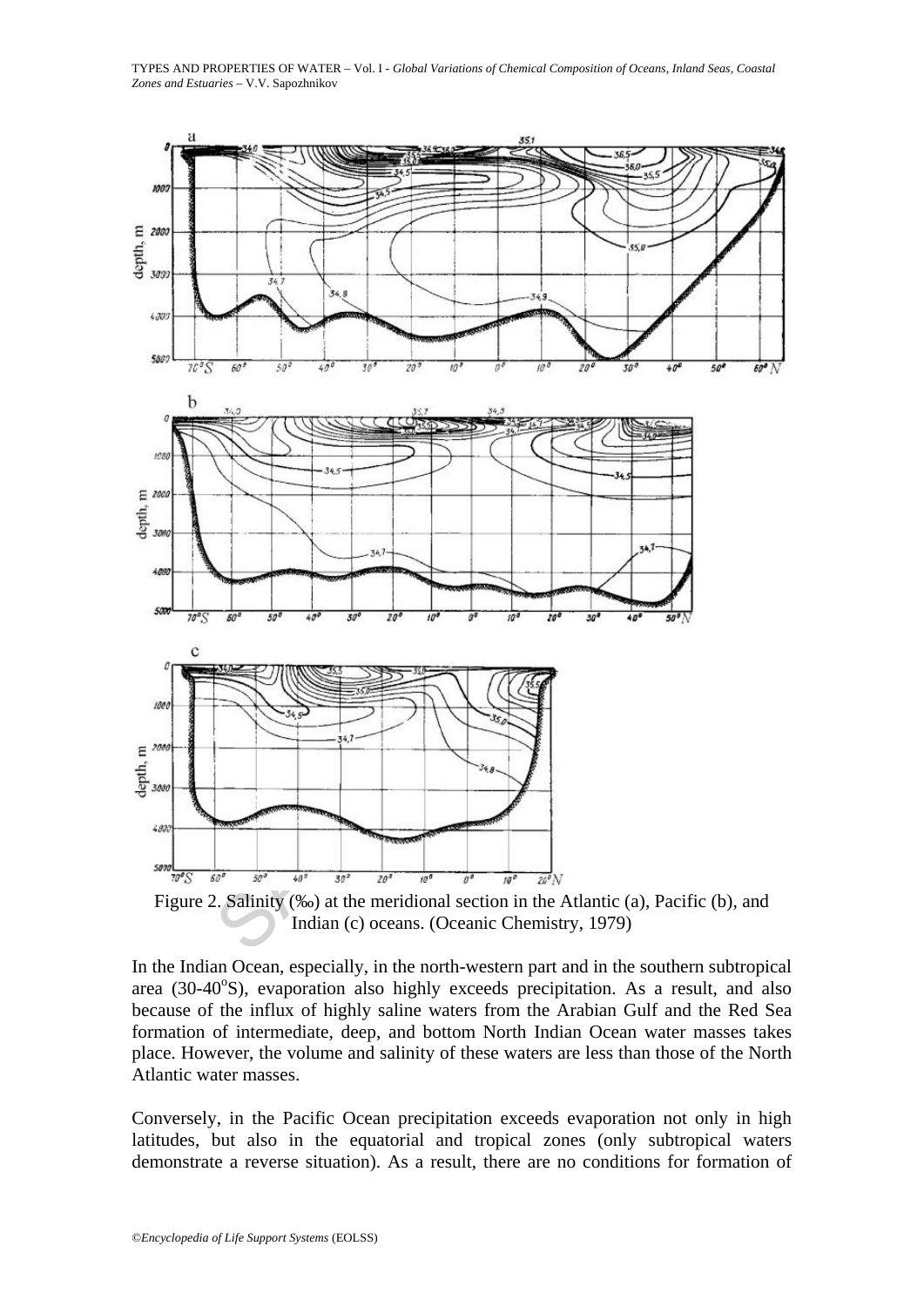



Indian (c) oceans. (Oceanic Chemistry, 1979)

In the Indian Ocean, especially, in the north-western part and in the southern subtropical area (30-40°S), evaporation also highly exceeds precipitation. As a result, and also because of the influx of highly saline waters from the Arabian Gulf and the Red Sea formation of intermediate, deep, and bottom North Indian Ocean water masses takes place. However, the volume and salinity of these waters are less than those of the North Atlantic water masses.

Conversely, in the Pacific Ocean precipitation exceeds evaporation not only in high latitudes, but also in the equatorial and tropical zones (only subtropical waters demonstrate a reverse situation). As a result, there are no conditions for formation of